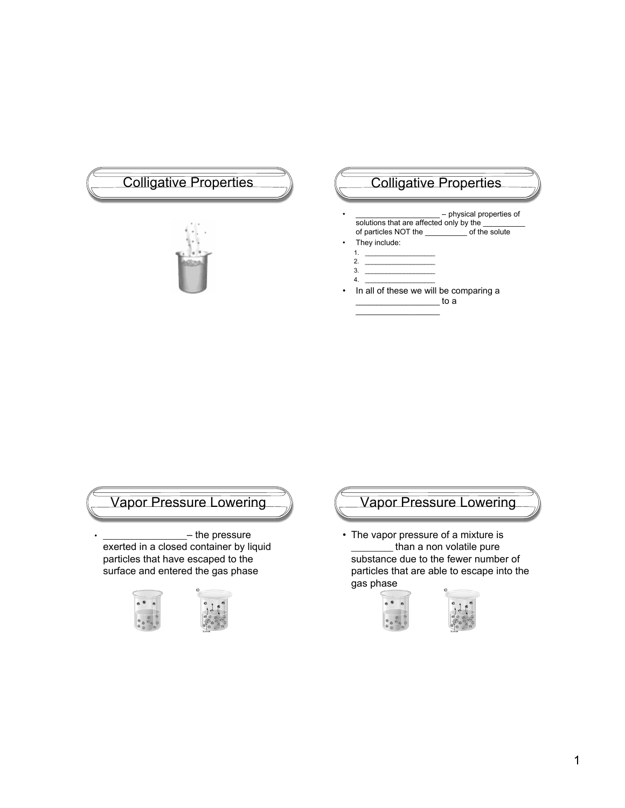# Colligative Properties (Colligative Properties



- physical properties of solutions that are affected only by the \_\_\_\_\_\_\_\_\_\_ of particles NOT the
- They include:
	- 1. \_\_\_\_\_\_\_\_\_\_\_\_\_\_\_\_\_\_\_\_ 2. \_\_\_\_\_\_\_\_\_\_\_\_\_\_\_\_\_\_\_\_

 $\mathcal{L}=\mathcal{L}=\mathcal{L}=\mathcal{L}=\mathcal{L}=\mathcal{L}=\mathcal{L}=\mathcal{L}=\mathcal{L}=\mathcal{L}=\mathcal{L}=\mathcal{L}=\mathcal{L}=\mathcal{L}=\mathcal{L}=\mathcal{L}=\mathcal{L}=\mathcal{L}=\mathcal{L}=\mathcal{L}=\mathcal{L}=\mathcal{L}=\mathcal{L}=\mathcal{L}=\mathcal{L}=\mathcal{L}=\mathcal{L}=\mathcal{L}=\mathcal{L}=\mathcal{L}=\mathcal{L}=\mathcal{L}=\mathcal{L}=\mathcal{L}=\mathcal{L}=\mathcal{L}=\mathcal{$ 

- 3. <u>\_\_\_\_\_\_\_\_\_\_\_\_\_\_\_\_\_\_\_\_</u>
- $4.$
- In all of these we will be comparing a  $_$  to a



## $-$  the pressure

exerted in a closed container by liquid particles that have escaped to the surface and entered the gas phase





• The vapor pressure of a mixture is \_\_\_\_\_\_\_\_\_\_ than a non volatile pure substance due to the fewer number of particles that are able to escape into the gas phase